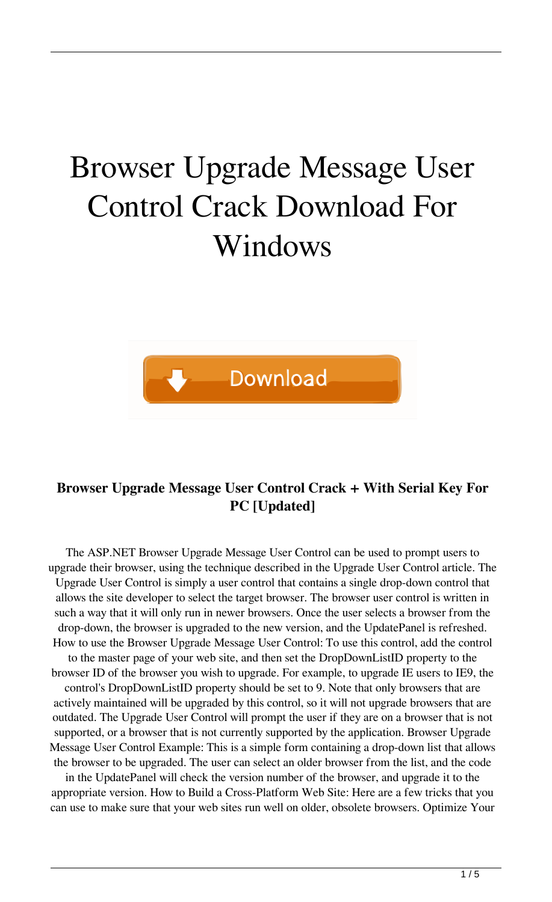# Browser Upgrade Message User Control Crack Download For Windows



## **Browser Upgrade Message User Control Crack + With Serial Key For PC [Updated]**

The ASP.NET Browser Upgrade Message User Control can be used to prompt users to upgrade their browser, using the technique described in the Upgrade User Control article. The Upgrade User Control is simply a user control that contains a single drop-down control that allows the site developer to select the target browser. The browser user control is written in such a way that it will only run in newer browsers. Once the user selects a browser from the drop-down, the browser is upgraded to the new version, and the UpdatePanel is refreshed. How to use the Browser Upgrade Message User Control: To use this control, add the control to the master page of your web site, and then set the DropDownListID property to the browser ID of the browser you wish to upgrade. For example, to upgrade IE users to IE9, the control's DropDownListID property should be set to 9. Note that only browsers that are actively maintained will be upgraded by this control, so it will not upgrade browsers that are outdated. The Upgrade User Control will prompt the user if they are on a browser that is not supported, or a browser that is not currently supported by the application. Browser Upgrade Message User Control Example: This is a simple form containing a drop-down list that allows the browser to be upgraded. The user can select an older browser from the list, and the code

in the UpdatePanel will check the version number of the browser, and upgrade it to the appropriate version. How to Build a Cross-Platform Web Site: Here are a few tricks that you can use to make sure that your web sites run well on older, obsolete browsers. Optimize Your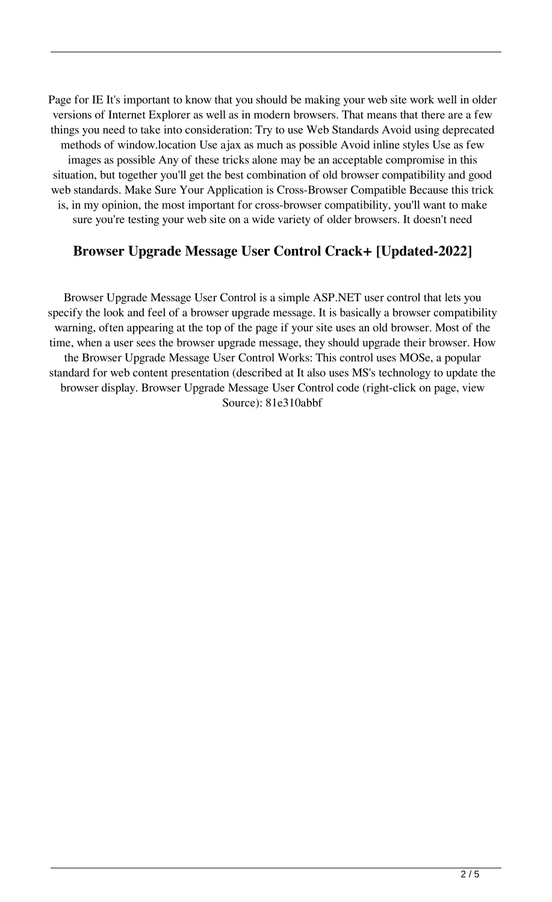Page for IE It's important to know that you should be making your web site work well in older versions of Internet Explorer as well as in modern browsers. That means that there are a few things you need to take into consideration: Try to use Web Standards Avoid using deprecated methods of window.location Use ajax as much as possible Avoid inline styles Use as few images as possible Any of these tricks alone may be an acceptable compromise in this situation, but together you'll get the best combination of old browser compatibility and good web standards. Make Sure Your Application is Cross-Browser Compatible Because this trick is, in my opinion, the most important for cross-browser compatibility, you'll want to make sure you're testing your web site on a wide variety of older browsers. It doesn't need

### **Browser Upgrade Message User Control Crack+ [Updated-2022]**

Browser Upgrade Message User Control is a simple ASP.NET user control that lets you specify the look and feel of a browser upgrade message. It is basically a browser compatibility warning, often appearing at the top of the page if your site uses an old browser. Most of the time, when a user sees the browser upgrade message, they should upgrade their browser. How the Browser Upgrade Message User Control Works: This control uses MOSe, a popular standard for web content presentation (described at It also uses MS's technology to update the browser display. Browser Upgrade Message User Control code (right-click on page, view Source): 81e310abbf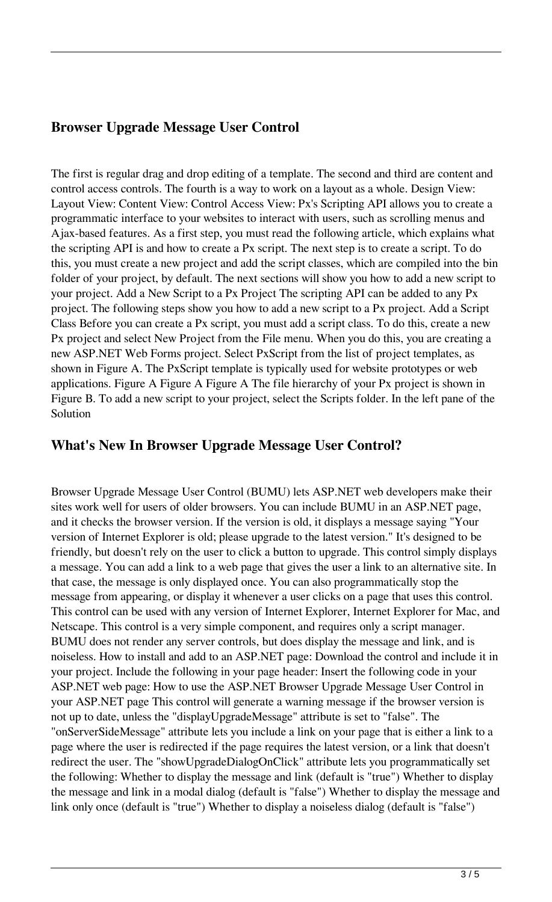#### **Browser Upgrade Message User Control**

The first is regular drag and drop editing of a template. The second and third are content and control access controls. The fourth is a way to work on a layout as a whole. Design View: Layout View: Content View: Control Access View: Px's Scripting API allows you to create a programmatic interface to your websites to interact with users, such as scrolling menus and Ajax-based features. As a first step, you must read the following article, which explains what the scripting API is and how to create a Px script. The next step is to create a script. To do this, you must create a new project and add the script classes, which are compiled into the bin folder of your project, by default. The next sections will show you how to add a new script to your project. Add a New Script to a Px Project The scripting API can be added to any Px project. The following steps show you how to add a new script to a Px project. Add a Script Class Before you can create a Px script, you must add a script class. To do this, create a new Px project and select New Project from the File menu. When you do this, you are creating a new ASP.NET Web Forms project. Select PxScript from the list of project templates, as shown in Figure A. The PxScript template is typically used for website prototypes or web applications. Figure A Figure A Figure A The file hierarchy of your Px project is shown in Figure B. To add a new script to your project, select the Scripts folder. In the left pane of the Solution

#### **What's New In Browser Upgrade Message User Control?**

Browser Upgrade Message User Control (BUMU) lets ASP.NET web developers make their sites work well for users of older browsers. You can include BUMU in an ASP.NET page, and it checks the browser version. If the version is old, it displays a message saying "Your version of Internet Explorer is old; please upgrade to the latest version." It's designed to be friendly, but doesn't rely on the user to click a button to upgrade. This control simply displays a message. You can add a link to a web page that gives the user a link to an alternative site. In that case, the message is only displayed once. You can also programmatically stop the message from appearing, or display it whenever a user clicks on a page that uses this control. This control can be used with any version of Internet Explorer, Internet Explorer for Mac, and Netscape. This control is a very simple component, and requires only a script manager. BUMU does not render any server controls, but does display the message and link, and is noiseless. How to install and add to an ASP.NET page: Download the control and include it in your project. Include the following in your page header: Insert the following code in your ASP.NET web page: How to use the ASP.NET Browser Upgrade Message User Control in your ASP.NET page This control will generate a warning message if the browser version is not up to date, unless the "displayUpgradeMessage" attribute is set to "false". The "onServerSideMessage" attribute lets you include a link on your page that is either a link to a page where the user is redirected if the page requires the latest version, or a link that doesn't redirect the user. The "showUpgradeDialogOnClick" attribute lets you programmatically set the following: Whether to display the message and link (default is "true") Whether to display the message and link in a modal dialog (default is "false") Whether to display the message and link only once (default is "true") Whether to display a noiseless dialog (default is "false")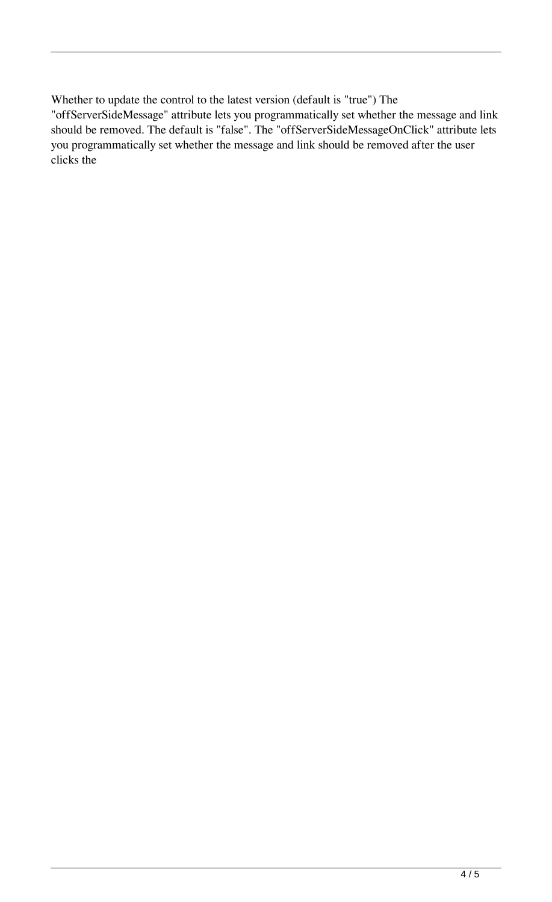Whether to update the control to the latest version (default is "true") The "offServerSideMessage" attribute lets you programmatically set whether the message and link should be removed. The default is "false". The "offServerSideMessageOnClick" attribute lets you programmatically set whether the message and link should be removed after the user clicks the